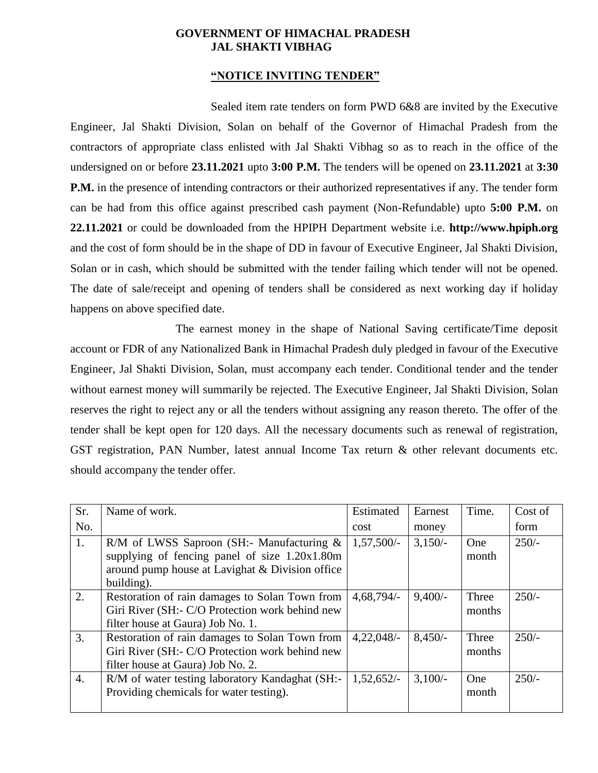#### **GOVERNMENT OF HIMACHAL PRADESH JAL SHAKTI VIBHAG**

#### **"NOTICE INVITING TENDER"**

Sealed item rate tenders on form PWD 6&8 are invited by the Executive Engineer, Jal Shakti Division, Solan on behalf of the Governor of Himachal Pradesh from the contractors of appropriate class enlisted with Jal Shakti Vibhag so as to reach in the office of the undersigned on or before **23.11.2021** upto **3:00 P.M.** The tenders will be opened on **23.11.2021** at **3:30 P.M.** in the presence of intending contractors or their authorized representatives if any. The tender form can be had from this office against prescribed cash payment (Non-Refundable) upto **5:00 P.M.** on **22.11.2021** or could be downloaded from the HPIPH Department website i.e. **http://www.hpiph.org** and the cost of form should be in the shape of DD in favour of Executive Engineer, Jal Shakti Division, Solan or in cash, which should be submitted with the tender failing which tender will not be opened. The date of sale/receipt and opening of tenders shall be considered as next working day if holiday happens on above specified date.

The earnest money in the shape of National Saving certificate/Time deposit account or FDR of any Nationalized Bank in Himachal Pradesh duly pledged in favour of the Executive Engineer, Jal Shakti Division, Solan, must accompany each tender. Conditional tender and the tender without earnest money will summarily be rejected. The Executive Engineer, Jal Shakti Division, Solan reserves the right to reject any or all the tenders without assigning any reason thereto. The offer of the tender shall be kept open for 120 days. All the necessary documents such as renewal of registration, GST registration, PAN Number, latest annual Income Tax return & other relevant documents etc. should accompany the tender offer.

| Sr.              | Name of work.                                                                                                                                                  | Estimated    | Earnest   | Time.           | Cost of |
|------------------|----------------------------------------------------------------------------------------------------------------------------------------------------------------|--------------|-----------|-----------------|---------|
| No.              |                                                                                                                                                                | cost         | money     |                 | form    |
| 1.               | R/M of LWSS Saproon (SH:- Manufacturing $\&$<br>supplying of fencing panel of size 1.20x1.80m<br>around pump house at Lavighat & Division office<br>building). | $1,57,500/-$ | $3,150/-$ | One<br>month    | $250/-$ |
| $\overline{2}$ . | Restoration of rain damages to Solan Town from<br>Giri River (SH:- C/O Protection work behind new<br>filter house at Gaura) Job No. 1.                         | $4,68,794/-$ | $9,400/-$ | Three<br>months | $250/-$ |
| 3.               | Restoration of rain damages to Solan Town from<br>Giri River (SH:- C/O Protection work behind new<br>filter house at Gaura) Job No. 2.                         | $4,22,048/-$ | $8,450/-$ | Three<br>months | $250/-$ |
| $\overline{4}$ . | R/M of water testing laboratory Kandaghat (SH:-<br>Providing chemicals for water testing).                                                                     | $1,52,652/-$ | $3,100/-$ | One<br>month    | $250/-$ |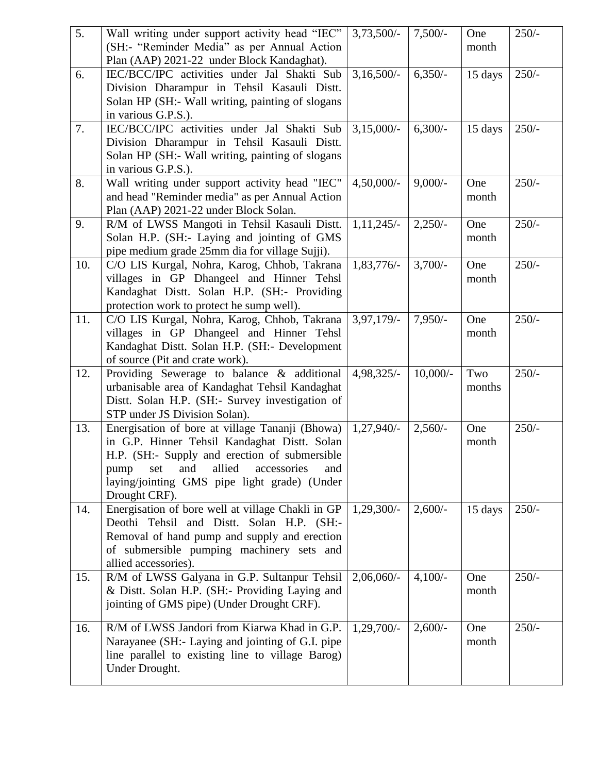| $\overline{5}$ . | Wall writing under support activity head "IEC"     | $3,73,500/-$  | $7,500/-$  | One     | $250/-$ |
|------------------|----------------------------------------------------|---------------|------------|---------|---------|
|                  | (SH:- "Reminder Media" as per Annual Action        |               |            | month   |         |
|                  | Plan (AAP) 2021-22 under Block Kandaghat).         |               |            |         |         |
| 6.               | IEC/BCC/IPC activities under Jal Shakti Sub        | $3,16,500/-$  | $6,350/-$  | 15 days | $250/-$ |
|                  | Division Dharampur in Tehsil Kasauli Distt.        |               |            |         |         |
|                  | Solan HP (SH:- Wall writing, painting of slogans   |               |            |         |         |
|                  | in various G.P.S.).                                |               |            |         |         |
| 7.               | IEC/BCC/IPC activities under Jal Shakti Sub        | $3,15,000/-$  | $6,300/-$  | 15 days | $250/-$ |
|                  | Division Dharampur in Tehsil Kasauli Distt.        |               |            |         |         |
|                  | Solan HP (SH:- Wall writing, painting of slogans   |               |            |         |         |
|                  | in various G.P.S.).                                |               |            |         |         |
| 8.               | Wall writing under support activity head "IEC"     | $4,50,000/$ - | $9,000/-$  | One     | $250/-$ |
|                  | and head "Reminder media" as per Annual Action     |               |            | month   |         |
|                  | Plan (AAP) 2021-22 under Block Solan.              |               |            |         |         |
| 9.               | R/M of LWSS Mangoti in Tehsil Kasauli Distt.       | $1,11,245/-$  | $2,250/-$  | One     | $250/-$ |
|                  | Solan H.P. (SH:- Laying and jointing of GMS        |               |            | month   |         |
|                  | pipe medium grade 25mm dia for village Sujji).     |               |            |         |         |
| 10.              | C/O LIS Kurgal, Nohra, Karog, Chhob, Takrana       | $1,83,776/-$  | $3,700/-$  | One     | $250/-$ |
|                  | villages in GP Dhangeel and Hinner Tehsl           |               |            | month   |         |
|                  | Kandaghat Distt. Solan H.P. (SH:- Providing        |               |            |         |         |
|                  | protection work to protect he sump well).          |               |            |         |         |
| 11.              | C/O LIS Kurgal, Nohra, Karog, Chhob, Takrana       | $3,97,179/-$  | $7,950/-$  | One     | $250/-$ |
|                  | villages in GP Dhangeel and Hinner Tehsl           |               |            | month   |         |
|                  | Kandaghat Distt. Solan H.P. (SH:- Development      |               |            |         |         |
|                  | of source (Pit and crate work).                    |               |            |         |         |
| 12.              | Providing Sewerage to balance & additional         | $4,98,325/-$  | $10,000/-$ | Two     | $250/-$ |
|                  | urbanisable area of Kandaghat Tehsil Kandaghat     |               |            | months  |         |
|                  | Distt. Solan H.P. (SH:- Survey investigation of    |               |            |         |         |
|                  | STP under JS Division Solan).                      |               |            |         |         |
| 13.              | Energisation of bore at village Tananji (Bhowa)    | $1,27,940/-$  | $2,560/-$  | One     | $250/-$ |
|                  | in G.P. Hinner Tehsil Kandaghat Distt. Solan       |               |            | month   |         |
|                  | H.P. (SH:- Supply and erection of submersible      |               |            |         |         |
|                  | allied<br>and<br>accessories<br>set<br>and<br>pump |               |            |         |         |
|                  | laying/jointing GMS pipe light grade) (Under       |               |            |         |         |
|                  | Drought CRF).                                      |               |            |         |         |
| 14.              | Energisation of bore well at village Chakli in GP  | $1,29,300/-$  | $2,600/-$  | 15 days | $250/-$ |
|                  | Deothi Tehsil and Distt. Solan H.P. (SH:-          |               |            |         |         |
|                  | Removal of hand pump and supply and erection       |               |            |         |         |
|                  | of submersible pumping machinery sets and          |               |            |         |         |
|                  | allied accessories).                               |               |            |         |         |
| 15.              | R/M of LWSS Galyana in G.P. Sultanpur Tehsil       | $2,06,060/$ - | $4,100/-$  | One     | $250/-$ |
|                  | & Distt. Solan H.P. (SH:- Providing Laying and     |               |            | month   |         |
|                  | jointing of GMS pipe) (Under Drought CRF).         |               |            |         |         |
| 16.              | R/M of LWSS Jandori from Kiarwa Khad in G.P.       | $1,29,700/-$  | $2,600/-$  | One     | $250/-$ |
|                  | Narayanee (SH:- Laying and jointing of G.I. pipe   |               |            | month   |         |
|                  | line parallel to existing line to village Barog)   |               |            |         |         |
|                  | Under Drought.                                     |               |            |         |         |
|                  |                                                    |               |            |         |         |